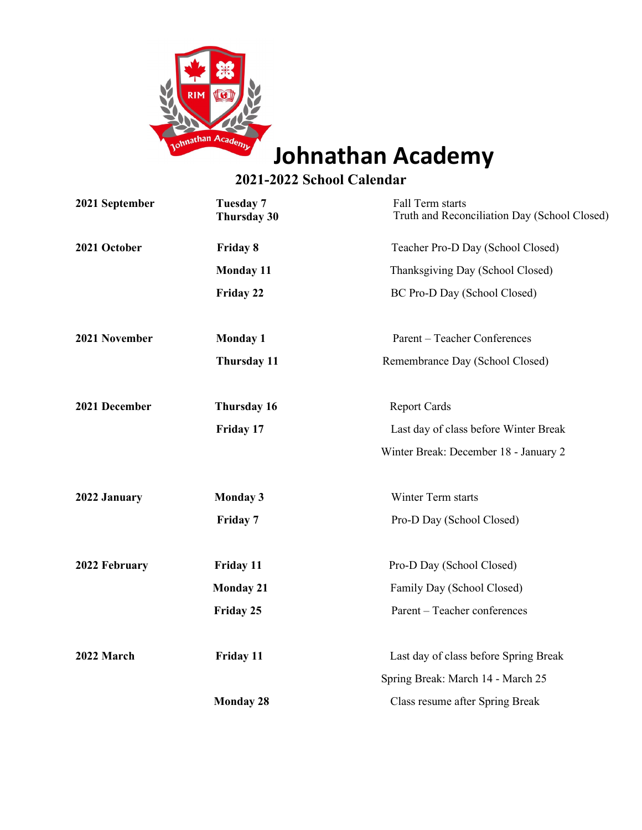

## **Johnathan Academy**

## **2021-2022 School Calendar**

| 2021 September | <b>Tuesday 7</b><br><b>Thursday 30</b> | Fall Term starts<br>Truth and Reconciliation Day (School Closed) |
|----------------|----------------------------------------|------------------------------------------------------------------|
| 2021 October   | Friday 8                               | Teacher Pro-D Day (School Closed)                                |
|                | <b>Monday 11</b>                       | Thanksgiving Day (School Closed)                                 |
|                | Friday 22                              | BC Pro-D Day (School Closed)                                     |
| 2021 November  | <b>Monday 1</b>                        | Parent - Teacher Conferences                                     |
|                | Thursday 11                            | Remembrance Day (School Closed)                                  |
| 2021 December  | Thursday 16                            | <b>Report Cards</b>                                              |
|                | Friday 17                              | Last day of class before Winter Break                            |
|                |                                        | Winter Break: December 18 - January 2                            |
| 2022 January   | <b>Monday 3</b>                        | Winter Term starts                                               |
|                | Friday 7                               | Pro-D Day (School Closed)                                        |
| 2022 February  | Friday 11                              | Pro-D Day (School Closed)                                        |
|                | <b>Monday 21</b>                       | Family Day (School Closed)                                       |
|                | Friday 25                              | Parent - Teacher conferences                                     |
| 2022 March     | <b>Friday 11</b>                       | Last day of class before Spring Break                            |
|                |                                        | Spring Break: March 14 - March 25                                |
|                | <b>Monday 28</b>                       | Class resume after Spring Break                                  |